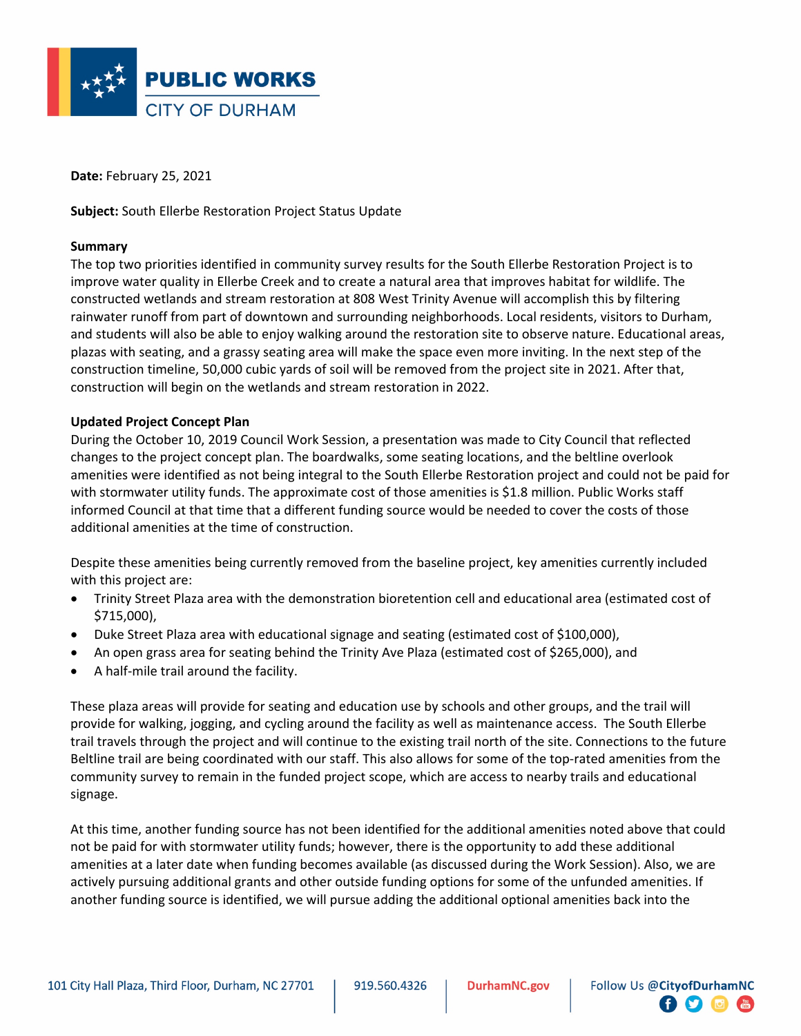

**Date:** February 25, 2021

**Subject:** South Ellerbe Restoration Project Status Update

#### **Summary**

The top two priorities identified in community survey results for the South Ellerbe Restoration Project is to improve water quality in Ellerbe Creek and to create a natural area that improves habitat for wildlife. The constructed wetlands and stream restoration at 808 West Trinity Avenue will accomplish this by filtering rainwater runoff from part of downtown and surrounding neighborhoods. Local residents, visitors to Durham, and students will also be able to enjoy walking around the restoration site to observe nature. Educational areas, plazas with seating, and a grassy seating area will make the space even more inviting. In the next step of the construction timeline, 50,000 cubic yards of soil will be removed from the project site in 2021. After that, construction will begin on the wetlands and stream restoration in 2022.

#### **Updated Project Concept Plan**

During the October 10, 2019 Council Work Session, a presentation was made to City Council that reflected changes to the project concept plan. The boardwalks, some seating locations, and the beltline overlook amenities were identified as not being integral to the South Ellerbe Restoration project and could not be paid for with stormwater utility funds. The approximate cost of those amenities is \$1.8 million. Public Works staff informed Council at that time that a different funding source would be needed to cover the costs of those additional amenities at the time of construction.

Despite these amenities being currently removed from the baseline project, key amenities currently included with this project are:

- Trinity Street Plaza area with the demonstration bioretention cell and educational area (estimated cost of \$715,000),
- Duke Street Plaza area with educational signage and seating (estimated cost of \$100,000),
- An open grass area for seating behind the Trinity Ave Plaza (estimated cost of \$265,000), and
- A half-mile trail around the facility.

These plaza areas will provide for seating and education use by schools and other groups, and the trail will provide for walking, jogging, and cycling around the facility as well as maintenance access. The South Ellerbe trail travels through the project and will continue to the existing trail north of the site. Connections to the future Beltline trail are being coordinated with our staff. This also allows for some of the top-rated amenities from the community survey to remain in the funded project scope, which are access to nearby trails and educational signage.

At this time, another funding source has not been identified for the additional amenities noted above that could not be paid for with stormwater utility funds; however, there is the opportunity to add these additional amenities at a later date when funding becomes available (as discussed during the Work Session). Also, we are actively pursuing additional grants and other outside funding options for some of the unfunded amenities. If another funding source is identified, we will pursue adding the additional optional amenities back into the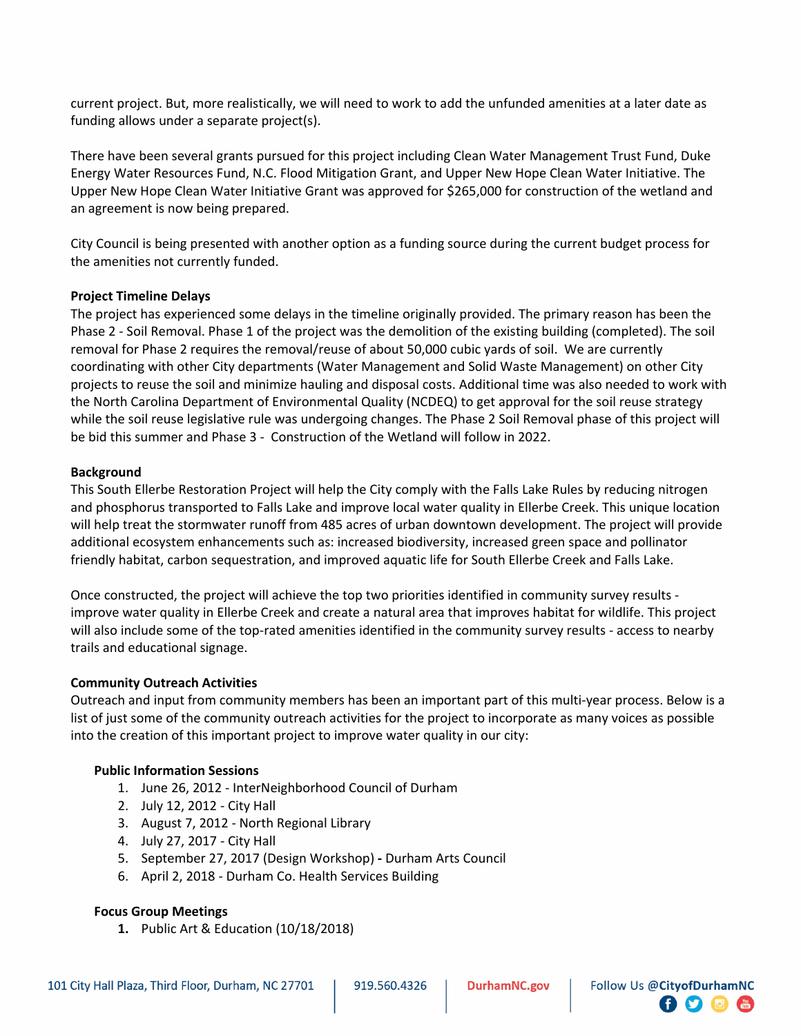current project. But, more realistically, we will need to work to add the unfunded amenities at a later date as funding allows under a separate project(s).

There have been several grants pursued for this project including Clean Water Management Trust Fund, Duke Energy Water Resources Fund, N.C. Flood Mitigation Grant, and Upper New Hope Clean Water Initiative. The Upper New Hope Clean Water Initiative Grant was approved for \$265,000 for construction of the wetland and an agreement is now being prepared.

City Council is being presented with another option as a funding source during the current budget process for the amenities not currently funded.

### **Project Timeline Delays**

The project has experienced some delays in the timeline originally provided. The primary reason has been the Phase 2 - Soil Removal. Phase 1 of the project was the demolition of the existing building (completed). The soil removal for Phase 2 requires the removal/reuse of about 50,000 cubic yards of soil. We are currently coordinating with other City departments (Water Management and Solid Waste Management) on other City projects to reuse the soil and minimize hauling and disposal costs. Additional time was also needed to work with the North Carolina Department of Environmental Quality (NCDEQ) to get approval for the soil reuse strategy while the soil reuse legislative rule was undergoing changes. The Phase 2 Soil Removal phase of this project will be bid this summer and Phase 3 - Construction of the Wetland will follow in 2022.

#### **Background**

This South Ellerbe Restoration Project will help the City comply with the Falls Lake Rules by reducing nitrogen and phosphorus transported to Falls Lake and improve local water quality in Ellerbe Creek. This unique location will help treat the stormwater runoff from 485 acres of urban downtown development. The project will provide additional ecosystem enhancements such as: increased biodiversity, increased green space and pollinator friendly habitat, carbon sequestration, and improved aquatic life for South Ellerbe Creek and Falls Lake.

Once constructed, the project will achieve the top two priorities identified in community survey results improve water quality in Ellerbe Creek and create a natural area that improves habitat for wildlife. This project will also include some of the top-rated amenities identified in the community survey results - access to nearby trails and educational signage.

#### **Community Outreach Activities**

Outreach and input from community members has been an important part of this multi-year process. Below is a list of just some of the community outreach activities for the project to incorporate as many voices as possible into the creation of this important project to improve water quality in our city:

#### **Public Information Sessions**

- 1. June 26, 2012 InterNeighborhood Council of Durham
- 2. July 12, 2012 City Hall
- 3. August 7, 2012 North Regional Library
- 4. July 27, 2017 City Hall
- 5. September 27, 2017 (Design Workshop) **-** Durham Arts Council
- 6. April 2, 2018 Durham Co. Health Services Building

#### **Focus Group Meetings**

**1.** Public Art & Education (10/18/2018)

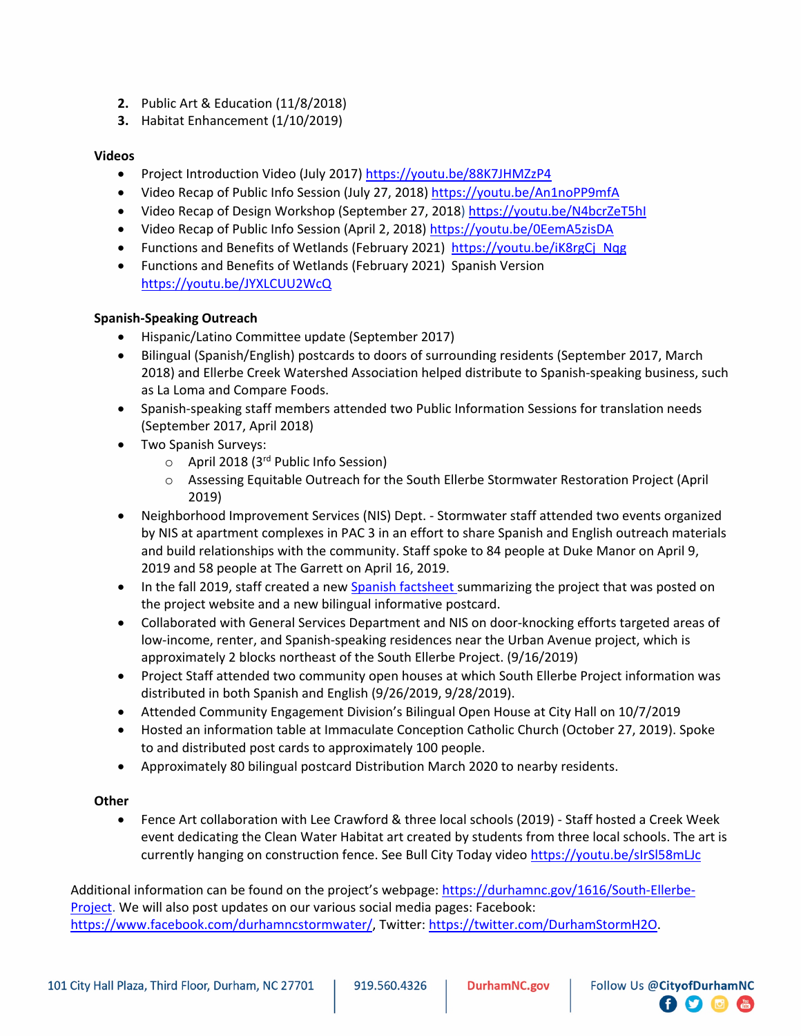- **2.** Public Art & Education (11/8/2018)
- **3.** Habitat Enhancement (1/10/2019)

### **Videos**

- Project Introduction Video (July 2017[\) https://youtu.be/88K7JHMZzP4](https://youtu.be/88K7JHMZzP4)
- Video Recap of Public Info Session (July 27, 2018) <https://youtu.be/An1noPP9mfA>
- Video Recap of Design Workshop (September 27, 2018)<https://youtu.be/N4bcrZeT5hI>
- Video Recap of Public Info Session (April 2, 2018) <https://youtu.be/0EemA5zisDA>
- Functions and Benefits of Wetlands (February 2021) [https://youtu.be/iK8rgCj\\_Nqg](https://youtu.be/iK8rgCj_Nqg)
- Functions and Benefits of Wetlands (February 2021) Spanish Version <https://youtu.be/JYXLCUU2WcQ>

# **Spanish-Speaking Outreach**

- Hispanic/Latino Committee update (September 2017)
- Bilingual (Spanish/English) postcards to doors of surrounding residents (September 2017, March 2018) and Ellerbe Creek Watershed Association helped distribute to Spanish-speaking business, such as La Loma and Compare Foods.
- Spanish-speaking staff members attended two Public Information Sessions for translation needs (September 2017, April 2018)
- Two Spanish Surveys:
	- $\circ$  April 2018 (3<sup>rd</sup> Public Info Session)
	- o Assessing Equitable Outreach for the South Ellerbe Stormwater Restoration Project (April 2019)
- Neighborhood Improvement Services (NIS) Dept. Stormwater staff attended two events organized by NIS at apartment complexes in PAC 3 in an effort to share Spanish and English outreach materials and build relationships with the community. Staff spoke to 84 people at Duke Manor on April 9, 2019 and 58 people at The Garrett on April 16, 2019.
- In the fall 2019, staff created a ne[w Spanish factsheet s](https://durhamnc.gov/DocumentCenter/View/27849)ummarizing the project that was posted on the project website and a new bilingual informative postcard.
- Collaborated with General Services Department and NIS on door-knocking efforts targeted areas of low-income, renter, and Spanish-speaking residences near the Urban Avenue project, which is approximately 2 blocks northeast of the South Ellerbe Project. (9/16/2019)
- Project Staff attended two community open houses at which South Ellerbe Project information was distributed in both Spanish and English (9/26/2019, 9/28/2019).
- Attended Community Engagement Division's Bilingual Open House at City Hall on 10/7/2019
- Hosted an information table at Immaculate Conception Catholic Church (October 27, 2019). Spoke to and distributed post cards to approximately 100 people.
- Approximately 80 bilingual postcard Distribution March 2020 to nearby residents.

# **Other**

• Fence Art collaboration with Lee Crawford & three local schools (2019) - Staff hosted a Creek Week event dedicating the Clean Water Habitat art created by students from three local schools. The art is currently hanging on construction fence. See Bull City Today video https://youtu.be/sIrSI58mLJc

**日り回信** 

Additional information can be found on the project's webpage: [https://durhamnc.gov/1616/South-Ellerbe-](https://durhamnc.gov/1616/South-Ellerbe-Project)[Project.](https://durhamnc.gov/1616/South-Ellerbe-Project) We will also post updates on our various social media pages: Facebook: [https://www.facebook.com/durhamncstormwater/,](https://www.facebook.com/durhamncstormwater/) Twitter: [https://twitter.com/DurhamStormH2O.](https://twitter.com/DurhamStormH2O)